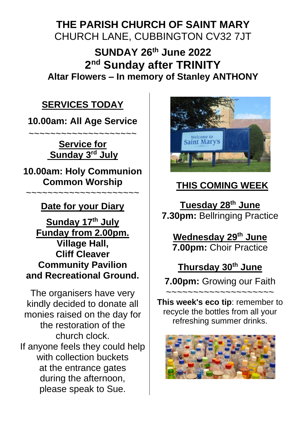# **THE PARISH CHURCH OF SAINT MARY** CHURCH LANE, CUBBINGTON CV32 7JT

**SUNDAY 26th June 2022 2 nd Sunday after TRINITY Altar Flowers – In memory of Stanley ANTHONY**

# **SERVICES TODAY**

**10.00am: All Age Service**

~~~~~~~~~~~~~~~~~~~~ **Service for Sunday 3 rd July**

**10.00am: Holy Communion Common Worship**

**Date for your Diary**

~~~~~~~~~~~~~~~~~~

**Sunday 17th July Funday from 2.00pm. Village Hall, Cliff Cleaver Community Pavilion and Recreational Ground.**

The organisers have very kindly decided to donate all monies raised on the day for the restoration of the church clock. If anyone feels they could help with collection buckets at the entrance gates during the afternoon, please speak to Sue.



# **THIS COMING WEEK**

**Tuesday 28th June 7.30pm:** Bellringing Practice

**Wednesday 29th June 7.00pm:** Choir Practice

**Thursday 30th June 7.00pm:** Growing our Faith

~~~~~~~~~~~~~~~~~~~~ **This week's eco tip**: remember to recycle the bottles from all your refreshing summer drinks.